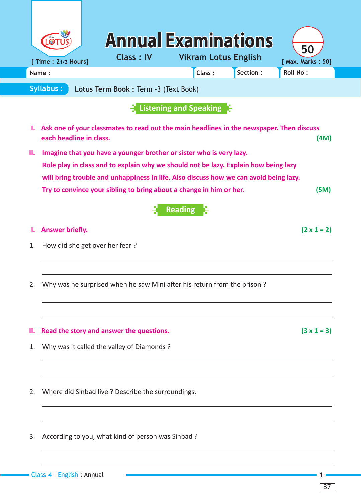|                                                          |                                                                                                                                |  | <b>Class: IV</b> |  |                |                                                    | <b>Annual Examinations</b><br><b>Vikram Lotus English</b>                             | 50                            |  |
|----------------------------------------------------------|--------------------------------------------------------------------------------------------------------------------------------|--|------------------|--|----------------|----------------------------------------------------|---------------------------------------------------------------------------------------|-------------------------------|--|
|                                                          | [ Time : 21/2 Hours]<br>Name:                                                                                                  |  |                  |  |                | Class:                                             | Section:                                                                              | [ Max. Marks: 50]<br>Roll No: |  |
| <b>Syllabus:</b><br>Lotus Term Book: Term -3 (Text Book) |                                                                                                                                |  |                  |  |                |                                                    |                                                                                       |                               |  |
|                                                          |                                                                                                                                |  |                  |  |                |                                                    |                                                                                       |                               |  |
|                                                          |                                                                                                                                |  |                  |  |                | $\frac{1}{2}$ Listening and Speaking $\frac{1}{2}$ |                                                                                       |                               |  |
|                                                          | I. Ask one of your classmates to read out the main headlines in the newspaper. Then discuss<br>each headline in class.<br>(4M) |  |                  |  |                |                                                    |                                                                                       |                               |  |
| П.                                                       | Imagine that you have a younger brother or sister who is very lazy.                                                            |  |                  |  |                |                                                    |                                                                                       |                               |  |
|                                                          | Role play in class and to explain why we should not be lazy. Explain how being lazy                                            |  |                  |  |                |                                                    |                                                                                       |                               |  |
|                                                          |                                                                                                                                |  |                  |  |                |                                                    | will bring trouble and unhappiness in life. Also discuss how we can avoid being lazy. |                               |  |
|                                                          | Try to convince your sibling to bring about a change in him or her.                                                            |  |                  |  |                |                                                    |                                                                                       | (5M)                          |  |
|                                                          |                                                                                                                                |  |                  |  | <b>Reading</b> |                                                    |                                                                                       |                               |  |
|                                                          | Answer briefly.                                                                                                                |  |                  |  |                |                                                    |                                                                                       | $(2 \times 1 = 2)$            |  |
| 1.                                                       | How did she get over her fear?                                                                                                 |  |                  |  |                |                                                    |                                                                                       |                               |  |
|                                                          |                                                                                                                                |  |                  |  |                |                                                    |                                                                                       |                               |  |
| 2.                                                       |                                                                                                                                |  |                  |  |                |                                                    | Why was he surprised when he saw Mini after his return from the prison?               |                               |  |
|                                                          |                                                                                                                                |  |                  |  |                |                                                    |                                                                                       |                               |  |
| н.                                                       | Read the story and answer the questions.                                                                                       |  |                  |  |                |                                                    |                                                                                       | $(3 \times 1 = 3)$            |  |
| 1.                                                       | Why was it called the valley of Diamonds?                                                                                      |  |                  |  |                |                                                    |                                                                                       |                               |  |
|                                                          |                                                                                                                                |  |                  |  |                |                                                    |                                                                                       |                               |  |
|                                                          |                                                                                                                                |  |                  |  |                |                                                    |                                                                                       |                               |  |
| 2.                                                       | Where did Sinbad live ? Describe the surroundings.                                                                             |  |                  |  |                |                                                    |                                                                                       |                               |  |
|                                                          |                                                                                                                                |  |                  |  |                |                                                    |                                                                                       |                               |  |
| 3.                                                       | According to you, what kind of person was Sinbad?                                                                              |  |                  |  |                |                                                    |                                                                                       |                               |  |
|                                                          |                                                                                                                                |  |                  |  |                |                                                    |                                                                                       |                               |  |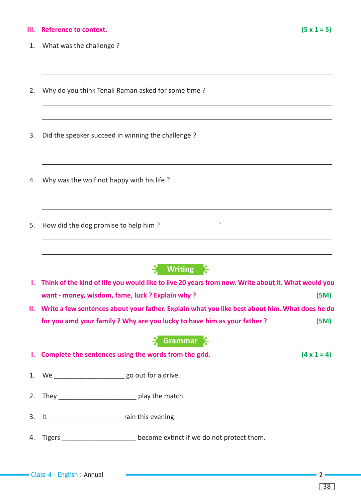## **III. Reference to context. (5 x 1 = 5)**

- 1. What was the challenge?
- 2. Why do you think Tenali Raman asked for some time?
- 3. Did the speaker succeed in winning the challenge?
- 4. Why was the wolf not happy with his life ?
- 5. How did the dog promise to help him?



- **I. Think of the kind of life you would like to live 20 years from now. Write about it. What would you want - money, wisdom, fame, luck ? Explain why ? (5M)**
- **II. Write a few sentences about your father. Explain what you like best about him. What does he do for you amd your family ? Why are you lucky to have him as your father ? (5M)**

**Grammar**

**I.** Complete the sentences using the words from the grid.  $(4 \times 1 = 4)$ 

- 1. We \_\_\_\_\_\_\_\_\_\_\_\_\_\_\_\_\_\_\_ go out for a drive.
- 2. They \_\_\_\_\_\_\_\_\_\_\_\_\_\_\_\_\_\_\_\_\_\_\_\_\_\_\_\_\_\_\_\_\_ play the match.
- 3. It \_\_\_\_\_\_\_\_\_\_\_\_\_\_\_\_\_\_\_\_\_\_\_\_\_ rain this evening.
- 4. Tigers **EXECUTE:** Tigers become extinct if we do not protect them.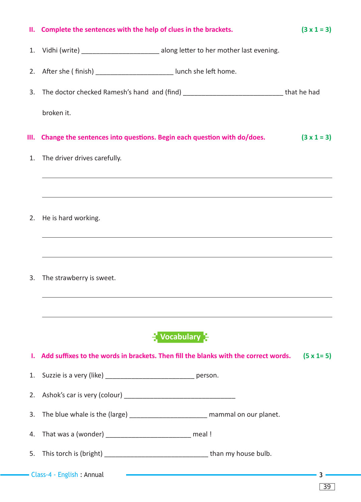|    | II. Complete the sentences with the help of clues in the brackets.                     | $(3 \times 1 = 3)$ |
|----|----------------------------------------------------------------------------------------|--------------------|
|    | 1. Vidhi (write) ____________________________ along letter to her mother last evening. |                    |
|    | 2. After she (finish) _________________________ lunch she left home.                   |                    |
| 3. |                                                                                        |                    |
|    | broken it.                                                                             |                    |
| Ш. | Change the sentences into questions. Begin each question with do/does.                 | $(3 \times 1 = 3)$ |
| 1. | The driver drives carefully.                                                           |                    |
|    |                                                                                        |                    |
| 2. | He is hard working.                                                                    |                    |
|    |                                                                                        |                    |
| 3. | The strawberry is sweet.                                                               |                    |
|    |                                                                                        |                    |
|    | <b>E</b> Vocabulary                                                                    |                    |
|    | I. Add suffixes to the words in brackets. Then fill the blanks with the correct words. | $(5 \times 1 = 5)$ |
| 1. | Suzzie is a very (like) _______________________________ person.                        |                    |
|    |                                                                                        |                    |
| 3. | The blue whale is the (large) __________________________ mammal on our planet.         |                    |
|    |                                                                                        |                    |
| 5. |                                                                                        |                    |
|    | - Class-4 - English : Annual                                                           | 3                  |
|    |                                                                                        | 39                 |